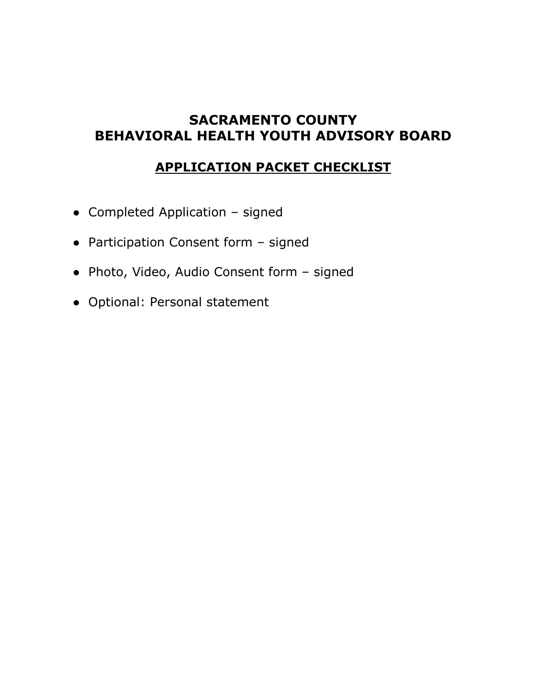### **SACRAMENTO COUNTY BEHAVIORAL HEALTH YOUTH ADVISORY BOARD**

#### **APPLICATION PACKET CHECKLIST**

- Completed Application signed
- Participation Consent form signed
- Photo, Video, Audio Consent form signed
- Optional: Personal statement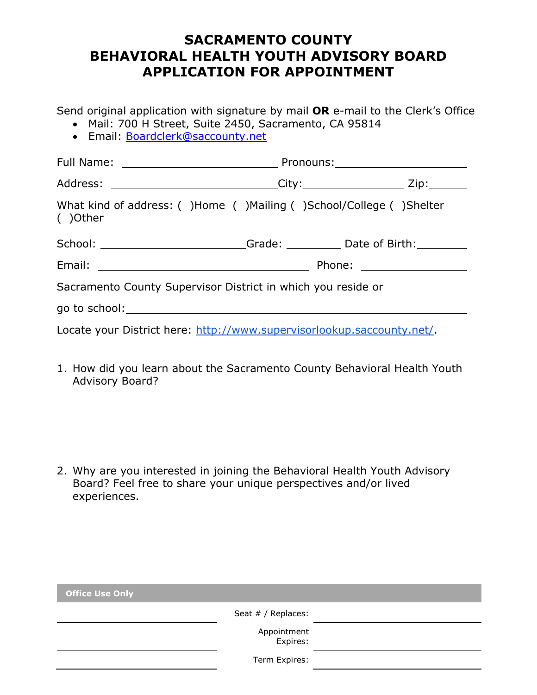### **SACRAMENTO COUNTY BEHAVIORAL HEALTH YOUTH ADVISORY BOARD APPLICATION FOR APPOINTMENT**

Send original application with signature by mail **OR** e-mail to the Clerk's Office

- Mail: 700 H Street, Suite 2450, Sacramento, CA 95814
- Email: [Boardclerk@saccounty.net](mailto:Boardclerk@saccounty.net)

| Address: _____________________________City:____________________ Zip:________     |  |  |  |
|----------------------------------------------------------------------------------|--|--|--|
| What kind of address: ()Home ()Mailing ()School/College ()Shelter<br>()Other     |  |  |  |
| School: __________________________Grade: ____________Date of Birth: ____________ |  |  |  |
|                                                                                  |  |  |  |
| Sacramento County Supervisor District in which you reside or                     |  |  |  |
|                                                                                  |  |  |  |
| Locate your District here: http://www.supervisorlookup.saccounty.net/.           |  |  |  |

1. How did you learn about the Sacramento County Behavioral Health Youth Advisory Board?

2. Why are you interested in joining the Behavioral Health Youth Advisory Board? Feel free to share your unique perspectives and/or lived experiences.

| <b>Office Use Only</b> |                         |
|------------------------|-------------------------|
|                        | Seat # / Replaces:      |
|                        | Appointment<br>:Expires |
|                        | Term Expires:           |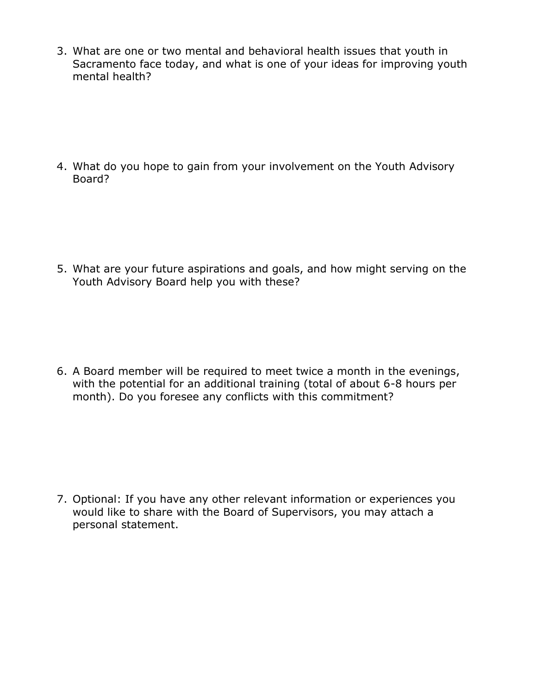3. What are one or two mental and behavioral health issues that youth in Sacramento face today, and what is one of your ideas for improving youth mental health?

4. What do you hope to gain from your involvement on the Youth Advisory Board?

5. What are your future aspirations and goals, and how might serving on the Youth Advisory Board help you with these?

6. A Board member will be required to meet twice a month in the evenings, with the potential for an additional training (total of about 6-8 hours per month). Do you foresee any conflicts with this commitment?

7. Optional: If you have any other relevant information or experiences you would like to share with the Board of Supervisors, you may attach a personal statement.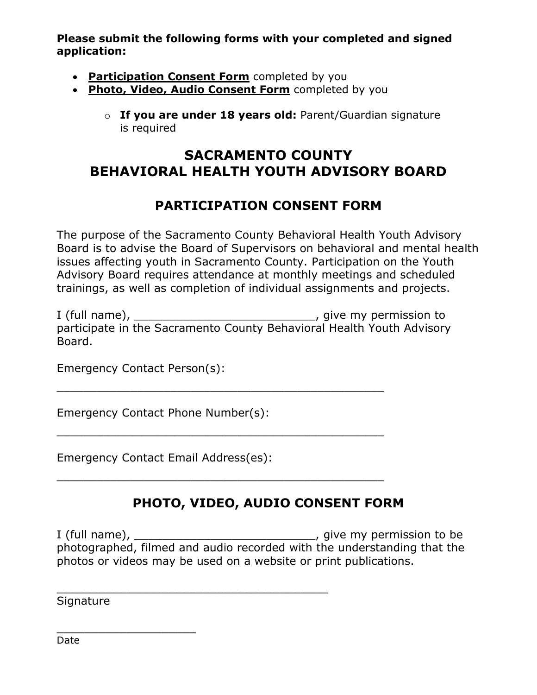**Please submit the following forms with your completed and signed application:**

- **Participation Consent Form** completed by you
- **Photo, Video, Audio Consent Form** completed by you
	- o **If you are under 18 years old:** Parent/Guardian signature is required

## **SACRAMENTO COUNTY BEHAVIORAL HEALTH YOUTH ADVISORY BOARD**

### **PARTICIPATION CONSENT FORM**

The purpose of the Sacramento County Behavioral Health Youth Advisory Board is to advise the Board of Supervisors on behavioral and mental health issues affecting youth in Sacramento County. Participation on the Youth Advisory Board requires attendance at monthly meetings and scheduled trainings, as well as completion of individual assignments and projects.

I (full name), \_\_\_\_\_\_\_\_\_\_\_\_\_\_\_\_\_\_\_\_\_\_\_\_\_\_\_\_\_\_\_\_, give my permission to participate in the Sacramento County Behavioral Health Youth Advisory Board.

\_\_\_\_\_\_\_\_\_\_\_\_\_\_\_\_\_\_\_\_\_\_\_\_\_\_\_\_\_\_\_\_\_\_\_\_\_\_\_\_\_\_\_\_\_\_\_\_\_

\_\_\_\_\_\_\_\_\_\_\_\_\_\_\_\_\_\_\_\_\_\_\_\_\_\_\_\_\_\_\_\_\_\_\_\_\_\_\_\_\_\_\_\_\_\_\_\_\_

\_\_\_\_\_\_\_\_\_\_\_\_\_\_\_\_\_\_\_\_\_\_\_\_\_\_\_\_\_\_\_\_\_\_\_\_\_\_\_\_\_\_\_\_\_\_\_\_\_

\_\_\_\_\_\_\_\_\_\_\_\_\_\_\_\_\_\_\_\_\_\_\_\_\_\_\_\_\_\_\_\_\_\_\_\_\_\_\_

Emergency Contact Person(s):

Emergency Contact Phone Number(s):

Emergency Contact Email Address(es):

### **PHOTO, VIDEO, AUDIO CONSENT FORM**

I (full name), \_\_\_\_\_\_\_\_\_\_\_\_\_\_\_\_\_\_\_\_\_\_\_\_\_\_\_\_\_\_\_\_, give my permission to be photographed, filmed and audio recorded with the understanding that the photos or videos may be used on a website or print publications.

**Signature** 

\_\_\_\_\_\_\_\_\_\_\_\_\_\_\_\_\_\_\_\_

Date